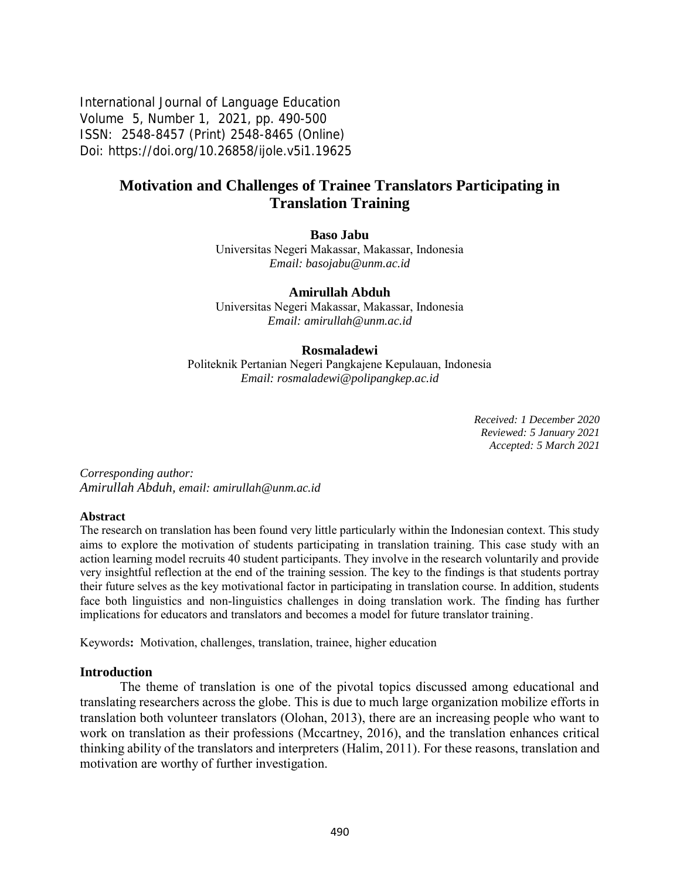International Journal of Language Education Volume 5, Number 1, 2021, pp. 490-500 ISSN: 2548-8457 (Print) 2548-8465 (Online) Doi: <https://doi.org/10.26858/ijole.v5i1.19625>

# **Motivation and Challenges of Trainee Translators Participating in Translation Training**

#### **Baso Jabu**

Universitas Negeri Makassar, Makassar, Indonesia *Email: basojabu@unm.ac.id*

#### **Amirullah Abduh**

Universitas Negeri Makassar, Makassar, Indonesia *Email: [amirullah@unm.ac.id](mailto:amirullah@unm.ac.id)*

#### **Rosmaladewi**

Politeknik Pertanian Negeri Pangkajene Kepulauan, Indonesia *Email: rosmaladewi@polipangkep.ac.id*

> *Received: 1 December 2020 Reviewed: 5 January 2021 Accepted: 5 March 2021*

*Corresponding author: Amirullah Abduh, email: [amirullah@unm.ac.id](mailto:amirullah@unm.ac.id)*

#### **Abstract**

The research on translation has been found very little particularly within the Indonesian context. This study aims to explore the motivation of students participating in translation training. This case study with an action learning model recruits 40 student participants. They involve in the research voluntarily and provide very insightful reflection at the end of the training session. The key to the findings is that students portray their future selves as the key motivational factor in participating in translation course. In addition, students face both linguistics and non-linguistics challenges in doing translation work. The finding has further implications for educators and translators and becomes a model for future translator training.

Keywords**:** Motivation, challenges, translation, trainee, higher education

#### **Introduction**

The theme of translation is one of the pivotal topics discussed among educational and translating researchers across the globe. This is due to much large organization mobilize efforts in translation both volunteer translators (Olohan, 2013), there are an increasing people who want to work on translation as their professions (Mccartney, 2016), and the translation enhances critical thinking ability of the translators and interpreters (Halim, 2011). For these reasons, translation and motivation are worthy of further investigation.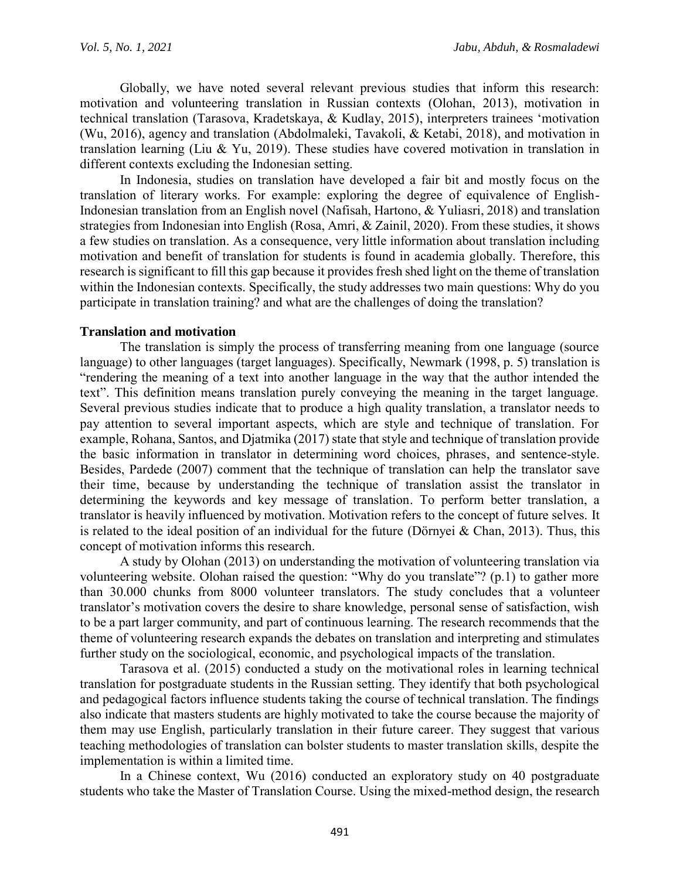Globally, we have noted several relevant previous studies that inform this research: motivation and volunteering translation in Russian contexts (Olohan, 2013), motivation in technical translation (Tarasova, Kradetskaya, & Kudlay, 2015), interpreters trainees 'motivation (Wu, 2016), agency and translation (Abdolmaleki, Tavakoli, & Ketabi, 2018), and motivation in translation learning (Liu & Yu, 2019). These studies have covered motivation in translation in different contexts excluding the Indonesian setting.

In Indonesia, studies on translation have developed a fair bit and mostly focus on the translation of literary works. For example: exploring the degree of equivalence of English-Indonesian translation from an English novel (Nafisah, Hartono, & Yuliasri, 2018) and translation strategies from Indonesian into English (Rosa, Amri, & Zainil, 2020). From these studies, it shows a few studies on translation. As a consequence, very little information about translation including motivation and benefit of translation for students is found in academia globally. Therefore, this research is significant to fill this gap because it provides fresh shed light on the theme of translation within the Indonesian contexts. Specifically, the study addresses two main questions: Why do you participate in translation training? and what are the challenges of doing the translation?

#### **Translation and motivation**

The translation is simply the process of transferring meaning from one language (source language) to other languages (target languages). Specifically, Newmark (1998, p. 5) translation is "rendering the meaning of a text into another language in the way that the author intended the text". This definition means translation purely conveying the meaning in the target language. Several previous studies indicate that to produce a high quality translation, a translator needs to pay attention to several important aspects, which are style and technique of translation. For example, Rohana, Santos, and Djatmika (2017) state that style and technique of translation provide the basic information in translator in determining word choices, phrases, and sentence-style. Besides, Pardede (2007) comment that the technique of translation can help the translator save their time, because by understanding the technique of translation assist the translator in determining the keywords and key message of translation. To perform better translation, a translator is heavily influenced by motivation. Motivation refers to the concept of future selves. It is related to the ideal position of an individual for the future (Dörnyei & Chan, 2013). Thus, this concept of motivation informs this research.

A study by Olohan (2013) on understanding the motivation of volunteering translation via volunteering website. Olohan raised the question: "Why do you translate"? (p.1) to gather more than 30.000 chunks from 8000 volunteer translators. The study concludes that a volunteer translator's motivation covers the desire to share knowledge, personal sense of satisfaction, wish to be a part larger community, and part of continuous learning. The research recommends that the theme of volunteering research expands the debates on translation and interpreting and stimulates further study on the sociological, economic, and psychological impacts of the translation.

Tarasova et al. (2015) conducted a study on the motivational roles in learning technical translation for postgraduate students in the Russian setting. They identify that both psychological and pedagogical factors influence students taking the course of technical translation. The findings also indicate that masters students are highly motivated to take the course because the majority of them may use English, particularly translation in their future career. They suggest that various teaching methodologies of translation can bolster students to master translation skills, despite the implementation is within a limited time.

In a Chinese context, Wu (2016) conducted an exploratory study on 40 postgraduate students who take the Master of Translation Course. Using the mixed-method design, the research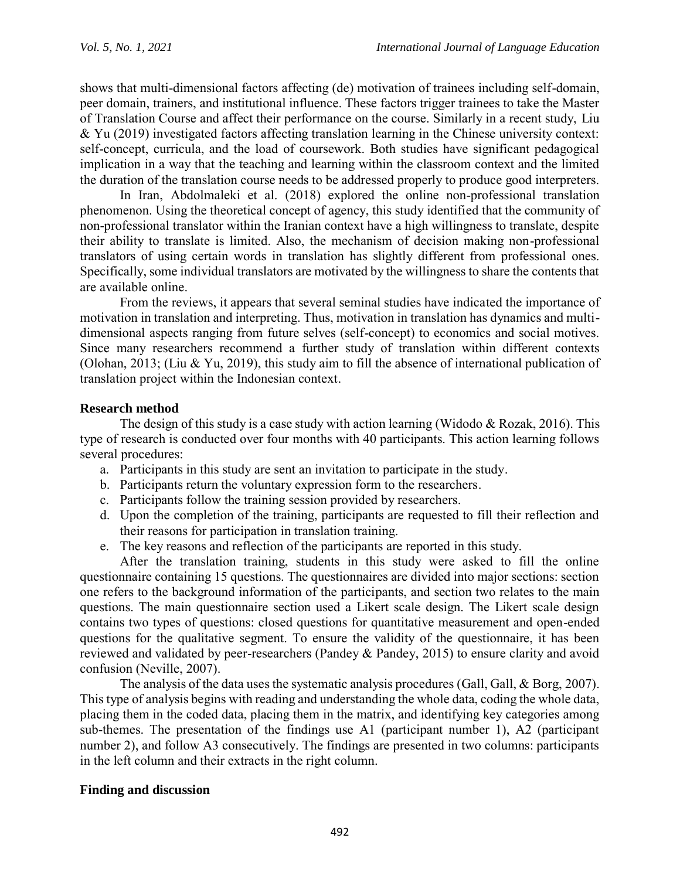shows that multi-dimensional factors affecting (de) motivation of trainees including self-domain, peer domain, trainers, and institutional influence. These factors trigger trainees to take the Master of Translation Course and affect their performance on the course. Similarly in a recent study, Liu & Yu (2019) investigated factors affecting translation learning in the Chinese university context: self-concept, curricula, and the load of coursework. Both studies have significant pedagogical implication in a way that the teaching and learning within the classroom context and the limited the duration of the translation course needs to be addressed properly to produce good interpreters.

In Iran, Abdolmaleki et al. (2018) explored the online non-professional translation phenomenon. Using the theoretical concept of agency, this study identified that the community of non-professional translator within the Iranian context have a high willingness to translate, despite their ability to translate is limited. Also, the mechanism of decision making non-professional translators of using certain words in translation has slightly different from professional ones. Specifically, some individual translators are motivated by the willingness to share the contents that are available online.

From the reviews, it appears that several seminal studies have indicated the importance of motivation in translation and interpreting. Thus, motivation in translation has dynamics and multidimensional aspects ranging from future selves (self-concept) to economics and social motives. Since many researchers recommend a further study of translation within different contexts (Olohan, 2013; (Liu & Yu, 2019), this study aim to fill the absence of international publication of translation project within the Indonesian context.

## **Research method**

The design of this study is a case study with action learning (Widodo  $& Rozak, 2016$ ). This type of research is conducted over four months with 40 participants. This action learning follows several procedures:

- a. Participants in this study are sent an invitation to participate in the study.
- b. Participants return the voluntary expression form to the researchers.
- c. Participants follow the training session provided by researchers.
- d. Upon the completion of the training, participants are requested to fill their reflection and their reasons for participation in translation training.
- e. The key reasons and reflection of the participants are reported in this study.

After the translation training, students in this study were asked to fill the online questionnaire containing 15 questions. The questionnaires are divided into major sections: section one refers to the background information of the participants, and section two relates to the main questions. The main questionnaire section used a Likert scale design. The Likert scale design contains two types of questions: closed questions for quantitative measurement and open-ended questions for the qualitative segment. To ensure the validity of the questionnaire, it has been reviewed and validated by peer-researchers (Pandey & Pandey, 2015) to ensure clarity and avoid confusion (Neville, 2007).

The analysis of the data uses the systematic analysis procedures (Gall, Gall, & Borg, 2007). This type of analysis begins with reading and understanding the whole data, coding the whole data, placing them in the coded data, placing them in the matrix, and identifying key categories among sub-themes. The presentation of the findings use A1 (participant number 1), A2 (participant number 2), and follow A3 consecutively. The findings are presented in two columns: participants in the left column and their extracts in the right column.

## **Finding and discussion**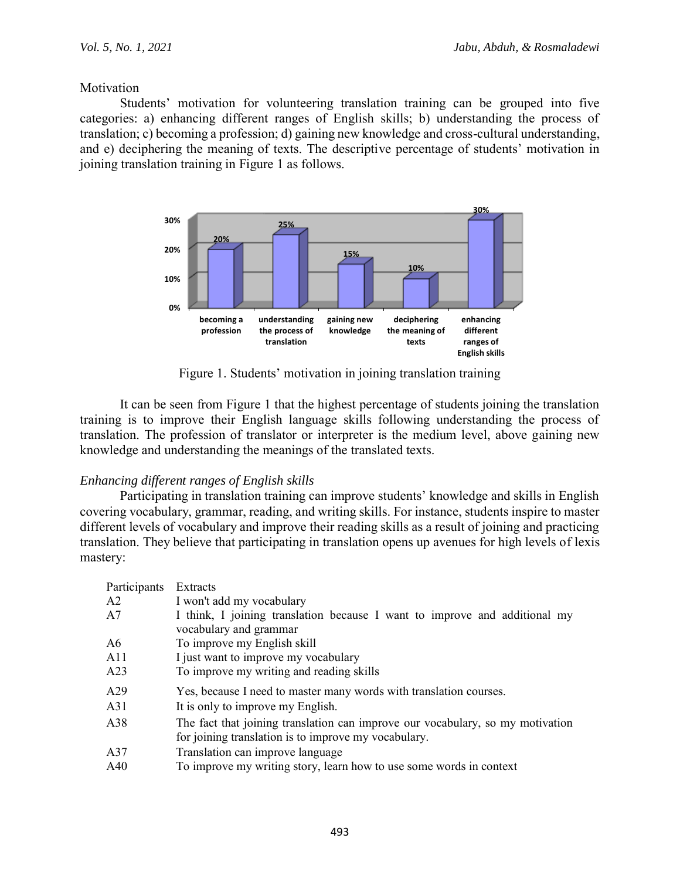**Motivation** 

Students' motivation for volunteering translation training can be grouped into five categories: a) enhancing different ranges of English skills; b) understanding the process of translation; c) becoming a profession; d) gaining new knowledge and cross-cultural understanding, and e) deciphering the meaning of texts. The descriptive percentage of students' motivation in joining translation training in Figure 1 as follows.



Figure 1. Students' motivation in joining translation training

It can be seen from Figure 1 that the highest percentage of students joining the translation training is to improve their English language skills following understanding the process of translation. The profession of translator or interpreter is the medium level, above gaining new knowledge and understanding the meanings of the translated texts.

## *Enhancing different ranges of English skills*

Participating in translation training can improve students' knowledge and skills in English covering vocabulary, grammar, reading, and writing skills. For instance, students inspire to master different levels of vocabulary and improve their reading skills as a result of joining and practicing translation. They believe that participating in translation opens up avenues for high levels of lexis mastery:

| Participants<br>A2<br>A7 | Extracts<br>I won't add my vocabulary<br>I think, I joining translation because I want to improve and additional my                    |
|--------------------------|----------------------------------------------------------------------------------------------------------------------------------------|
|                          | vocabulary and grammar                                                                                                                 |
| A6                       | To improve my English skill                                                                                                            |
| A11                      | I just want to improve my vocabulary                                                                                                   |
| A23                      | To improve my writing and reading skills                                                                                               |
| A29                      | Yes, because I need to master many words with translation courses.                                                                     |
| A <sub>31</sub>          | It is only to improve my English.                                                                                                      |
| A38                      | The fact that joining translation can improve our vocabulary, so my motivation<br>for joining translation is to improve my vocabulary. |
| A37                      | Translation can improve language                                                                                                       |
| A40                      | To improve my writing story, learn how to use some words in context                                                                    |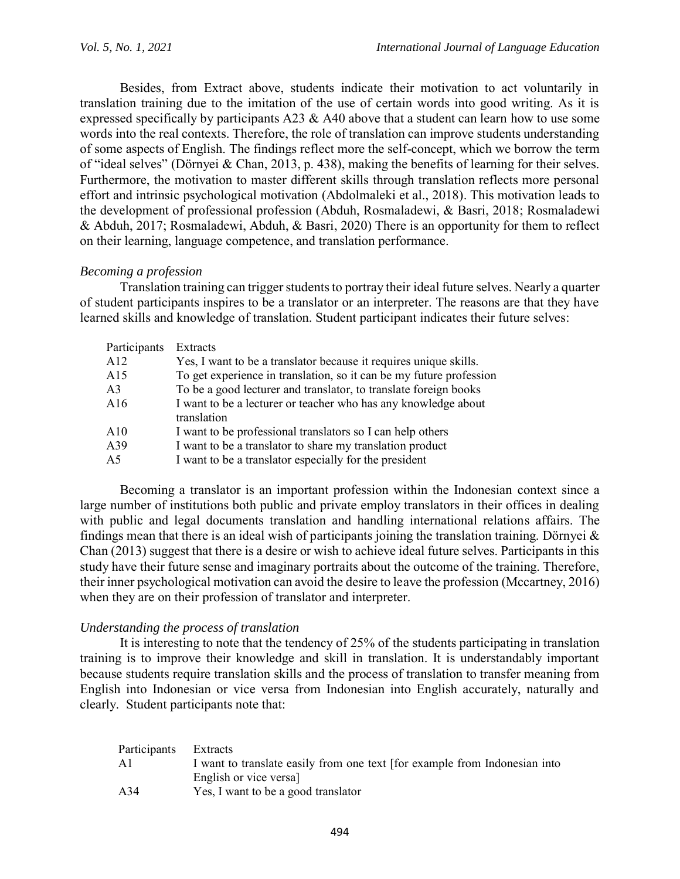Besides, from Extract above, students indicate their motivation to act voluntarily in translation training due to the imitation of the use of certain words into good writing. As it is expressed specifically by participants A23  $\&$  A40 above that a student can learn how to use some words into the real contexts. Therefore, the role of translation can improve students understanding of some aspects of English. The findings reflect more the self-concept, which we borrow the term of "ideal selves" (Dörnyei & Chan, 2013, p. 438), making the benefits of learning for their selves. Furthermore, the motivation to master different skills through translation reflects more personal effort and intrinsic psychological motivation (Abdolmaleki et al., 2018). This motivation leads to the development of professional profession (Abduh, Rosmaladewi, & Basri, 2018; Rosmaladewi & Abduh, 2017; Rosmaladewi, Abduh, & Basri, 2020) There is an opportunity for them to reflect on their learning, language competence, and translation performance.

## *Becoming a profession*

Translation training can trigger students to portray their ideal future selves. Nearly a quarter of student participants inspires to be a translator or an interpreter. The reasons are that they have learned skills and knowledge of translation. Student participant indicates their future selves:

| Participants   | Extracts                                                                      |
|----------------|-------------------------------------------------------------------------------|
| A12            | Yes, I want to be a translator because it requires unique skills.             |
| A15            | To get experience in translation, so it can be my future profession           |
| A <sub>3</sub> | To be a good lecturer and translator, to translate foreign books              |
| A16            | I want to be a lecturer or teacher who has any knowledge about<br>translation |
|                |                                                                               |
| A10            | I want to be professional translators so I can help others                    |
| A39            | I want to be a translator to share my translation product                     |
| A5             | I want to be a translator especially for the president                        |

Becoming a translator is an important profession within the Indonesian context since a large number of institutions both public and private employ translators in their offices in dealing with public and legal documents translation and handling international relations affairs. The findings mean that there is an ideal wish of participants joining the translation training. Dörnyei  $\&$ Chan (2013) suggest that there is a desire or wish to achieve ideal future selves. Participants in this study have their future sense and imaginary portraits about the outcome of the training. Therefore, their inner psychological motivation can avoid the desire to leave the profession (Mccartney, 2016) when they are on their profession of translator and interpreter.

### *Understanding the process of translation*

It is interesting to note that the tendency of 25% of the students participating in translation training is to improve their knowledge and skill in translation. It is understandably important because students require translation skills and the process of translation to transfer meaning from English into Indonesian or vice versa from Indonesian into English accurately, naturally and clearly. Student participants note that:

| Participants Extracts |                                                                           |
|-----------------------|---------------------------------------------------------------------------|
| $\mathbf{A}1$         | I want to translate easily from one text for example from Indonesian into |
|                       | English or vice versal                                                    |
| A34                   | Yes, I want to be a good translator                                       |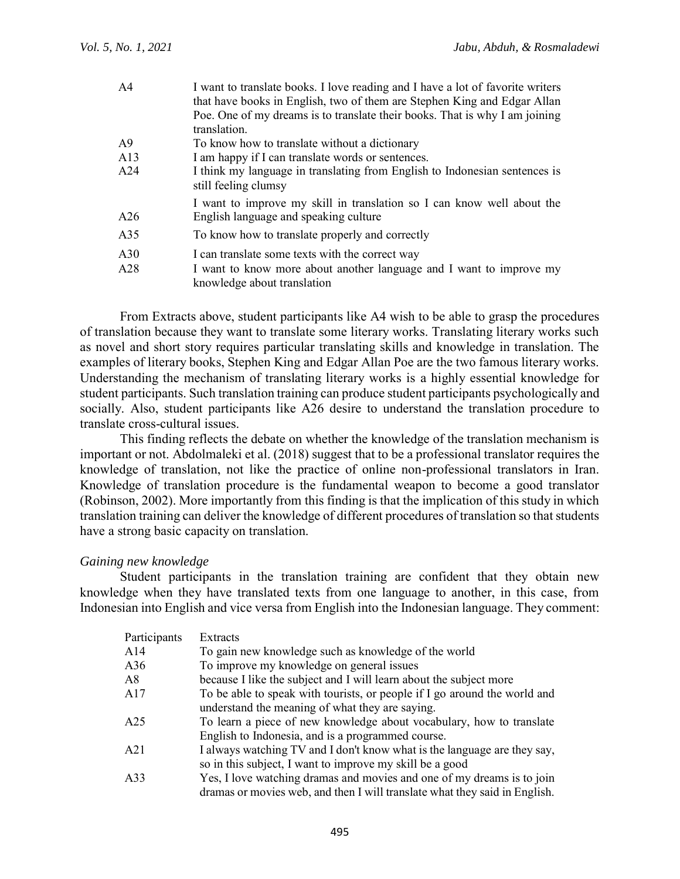| AA  | I want to translate books. I love reading and I have a lot of favorite writers<br>that have books in English, two of them are Stephen King and Edgar Allan<br>Poe. One of my dreams is to translate their books. That is why I am joining<br>translation. |
|-----|-----------------------------------------------------------------------------------------------------------------------------------------------------------------------------------------------------------------------------------------------------------|
| A9  | To know how to translate without a dictionary                                                                                                                                                                                                             |
| A13 | I am happy if I can translate words or sentences.                                                                                                                                                                                                         |
|     |                                                                                                                                                                                                                                                           |
| A24 | I think my language in translating from English to Indonesian sentences is<br>still feeling clumsy                                                                                                                                                        |
|     | I want to improve my skill in translation so I can know well about the                                                                                                                                                                                    |
| A26 | English language and speaking culture                                                                                                                                                                                                                     |
| A35 | To know how to translate properly and correctly                                                                                                                                                                                                           |
| A30 | I can translate some texts with the correct way                                                                                                                                                                                                           |
| A28 | I want to know more about another language and I want to improve my<br>knowledge about translation                                                                                                                                                        |

From Extracts above, student participants like A4 wish to be able to grasp the procedures of translation because they want to translate some literary works. Translating literary works such as novel and short story requires particular translating skills and knowledge in translation. The examples of literary books, Stephen King and Edgar Allan Poe are the two famous literary works. Understanding the mechanism of translating literary works is a highly essential knowledge for student participants. Such translation training can produce student participants psychologically and socially. Also, student participants like A26 desire to understand the translation procedure to translate cross-cultural issues.

This finding reflects the debate on whether the knowledge of the translation mechanism is important or not. Abdolmaleki et al. (2018) suggest that to be a professional translator requires the knowledge of translation, not like the practice of online non-professional translators in Iran. Knowledge of translation procedure is the fundamental weapon to become a good translator (Robinson, 2002). More importantly from this finding is that the implication of this study in which translation training can deliver the knowledge of different procedures of translation so that students have a strong basic capacity on translation.

### *Gaining new knowledge*

Student participants in the translation training are confident that they obtain new knowledge when they have translated texts from one language to another, in this case, from Indonesian into English and vice versa from English into the Indonesian language. They comment:

| Participants | Extracts                                                                                                                                             |
|--------------|------------------------------------------------------------------------------------------------------------------------------------------------------|
| A14          | To gain new knowledge such as knowledge of the world                                                                                                 |
| A36          | To improve my knowledge on general issues                                                                                                            |
| A8           | because I like the subject and I will learn about the subject more                                                                                   |
| A17          | To be able to speak with tourists, or people if I go around the world and<br>understand the meaning of what they are saying.                         |
| A25          | To learn a piece of new knowledge about vocabulary, how to translate<br>English to Indonesia, and is a programmed course.                            |
| A21          | I always watching TV and I don't know what is the language are they say,<br>so in this subject, I want to improve my skill be a good                 |
| A33          | Yes, I love watching dramas and movies and one of my dreams is to join<br>dramas or movies web, and then I will translate what they said in English. |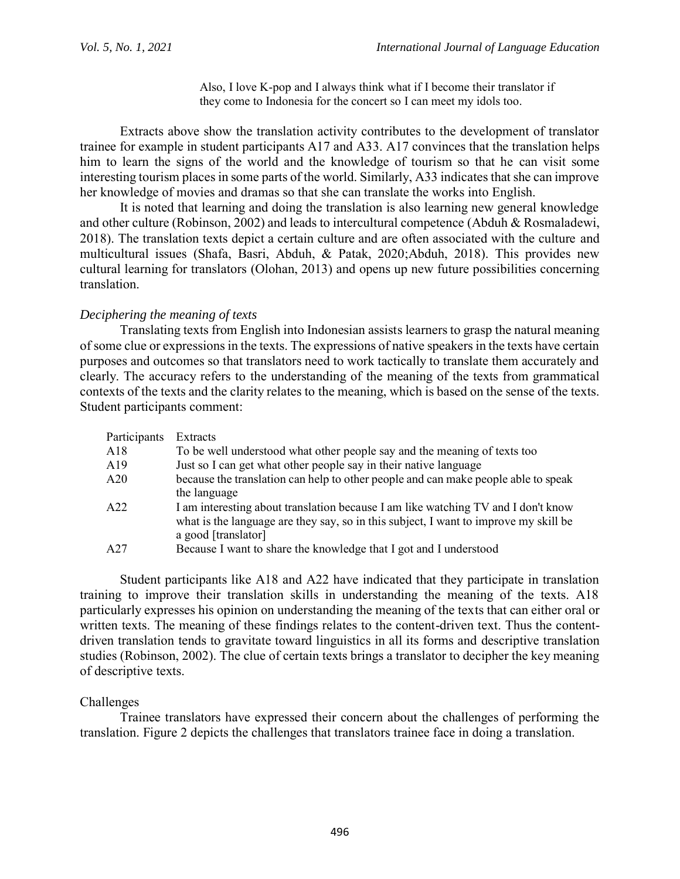Also, I love K-pop and I always think what if I become their translator if they come to Indonesia for the concert so I can meet my idols too.

Extracts above show the translation activity contributes to the development of translator trainee for example in student participants A17 and A33. A17 convinces that the translation helps him to learn the signs of the world and the knowledge of tourism so that he can visit some interesting tourism places in some parts of the world. Similarly, A33 indicates that she can improve her knowledge of movies and dramas so that she can translate the works into English.

It is noted that learning and doing the translation is also learning new general knowledge and other culture (Robinson, 2002) and leads to intercultural competence (Abduh & Rosmaladewi, 2018). The translation texts depict a certain culture and are often associated with the culture and multicultural issues (Shafa, Basri, Abduh, & Patak, 2020;Abduh, 2018). This provides new cultural learning for translators (Olohan, 2013) and opens up new future possibilities concerning translation.

### *Deciphering the meaning of texts*

Translating texts from English into Indonesian assists learners to grasp the natural meaning of some clue or expressions in the texts. The expressions of native speakers in the texts have certain purposes and outcomes so that translators need to work tactically to translate them accurately and clearly. The accuracy refers to the understanding of the meaning of the texts from grammatical contexts of the texts and the clarity relates to the meaning, which is based on the sense of the texts. Student participants comment:

| Participants | Extracts                                                                             |
|--------------|--------------------------------------------------------------------------------------|
| A18          | To be well understood what other people say and the meaning of texts too             |
| A19          | Just so I can get what other people say in their native language                     |
| A20          | because the translation can help to other people and can make people able to speak   |
|              | the language                                                                         |
| A22          | I am interesting about translation because I am like watching TV and I don't know    |
|              | what is the language are they say, so in this subject, I want to improve my skill be |
|              | a good [translator]                                                                  |
| A27          | Because I want to share the knowledge that I got and I understood                    |

Student participants like A18 and A22 have indicated that they participate in translation training to improve their translation skills in understanding the meaning of the texts. A18 particularly expresses his opinion on understanding the meaning of the texts that can either oral or written texts. The meaning of these findings relates to the content-driven text. Thus the contentdriven translation tends to gravitate toward linguistics in all its forms and descriptive translation studies (Robinson, 2002). The clue of certain texts brings a translator to decipher the key meaning of descriptive texts.

## Challenges

Trainee translators have expressed their concern about the challenges of performing the translation. Figure 2 depicts the challenges that translators trainee face in doing a translation.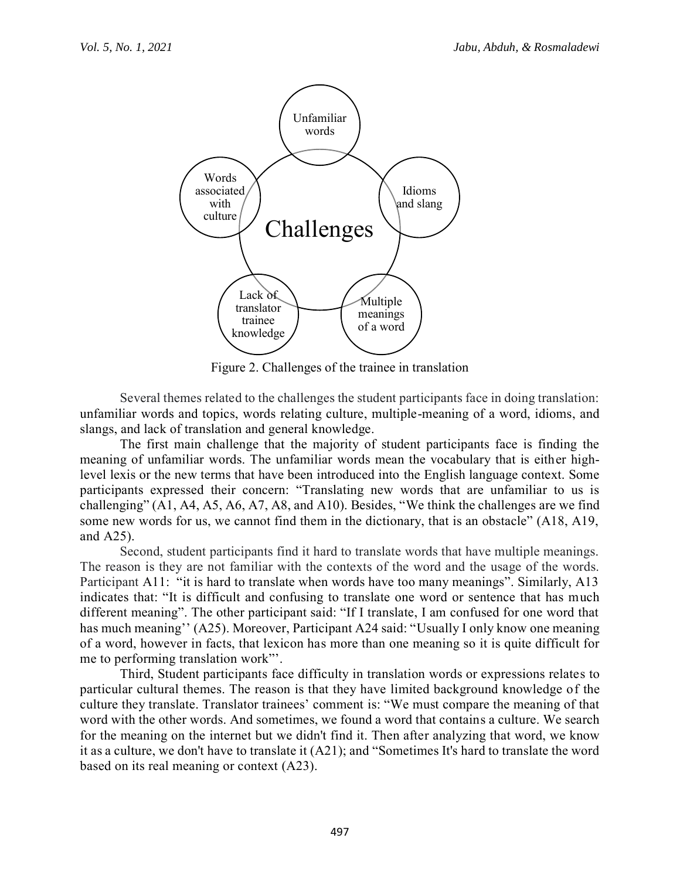

Figure 2. Challenges of the trainee in translation

Several themes related to the challenges the student participants face in doing translation: unfamiliar words and topics, words relating culture, multiple-meaning of a word, idioms, and slangs, and lack of translation and general knowledge.

The first main challenge that the majority of student participants face is finding the meaning of unfamiliar words. The unfamiliar words mean the vocabulary that is either highlevel lexis or the new terms that have been introduced into the English language context. Some participants expressed their concern: "Translating new words that are unfamiliar to us is challenging" (A1, A4, A5, A6, A7, A8, and A10). Besides, "We think the challenges are we find some new words for us, we cannot find them in the dictionary, that is an obstacle" (A18, A19, and A25).

Second, student participants find it hard to translate words that have multiple meanings. The reason is they are not familiar with the contexts of the word and the usage of the words. Participant A11: "it is hard to translate when words have too many meanings". Similarly, A13 indicates that: "It is difficult and confusing to translate one word or sentence that has much different meaning". The other participant said: "If I translate, I am confused for one word that has much meaning'' (A25). Moreover, Participant A24 said: "Usually I only know one meaning of a word, however in facts, that lexicon has more than one meaning so it is quite difficult for me to performing translation work"'.

Third, Student participants face difficulty in translation words or expressions relates to particular cultural themes. The reason is that they have limited background knowledge of the culture they translate. Translator trainees' comment is: "We must compare the meaning of that word with the other words. And sometimes, we found a word that contains a culture. We search for the meaning on the internet but we didn't find it. Then after analyzing that word, we know it as a culture, we don't have to translate it (A21); and "Sometimes It's hard to translate the word based on its real meaning or context (A23).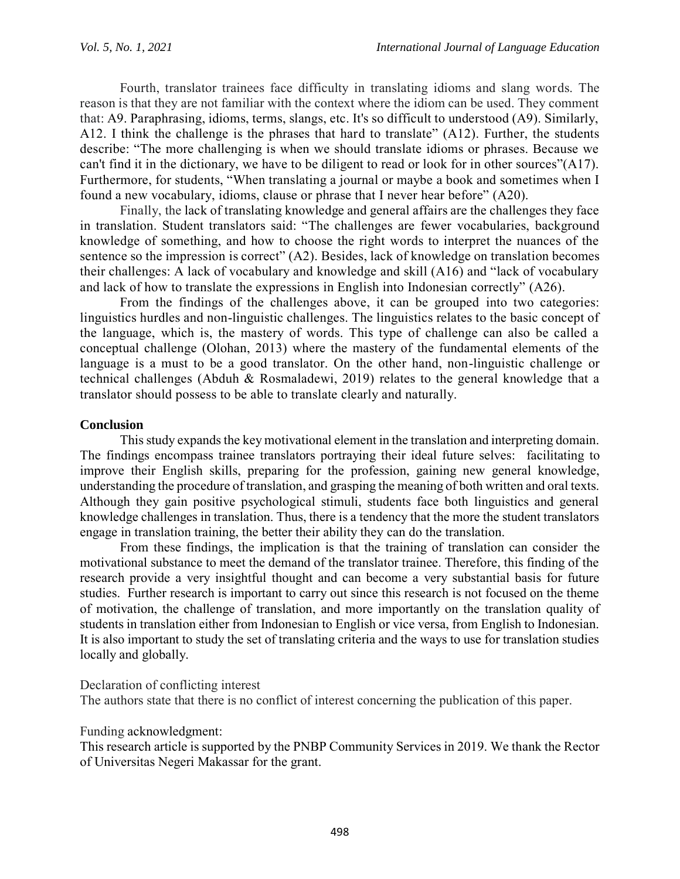Fourth, translator trainees face difficulty in translating idioms and slang words. The reason is that they are not familiar with the context where the idiom can be used. They comment that: A9. Paraphrasing, idioms, terms, slangs, etc. It's so difficult to understood (A9). Similarly, A12. I think the challenge is the phrases that hard to translate" (A12). Further, the students describe: "The more challenging is when we should translate idioms or phrases. Because we can't find it in the dictionary, we have to be diligent to read or look for in other sources"(A17). Furthermore, for students, "When translating a journal or maybe a book and sometimes when I found a new vocabulary, idioms, clause or phrase that I never hear before" (A20).

Finally, the lack of translating knowledge and general affairs are the challenges they face in translation. Student translators said: "The challenges are fewer vocabularies, background knowledge of something, and how to choose the right words to interpret the nuances of the sentence so the impression is correct" (A2). Besides, lack of knowledge on translation becomes their challenges: A lack of vocabulary and knowledge and skill (A16) and "lack of vocabulary and lack of how to translate the expressions in English into Indonesian correctly" (A26).

From the findings of the challenges above, it can be grouped into two categories: linguistics hurdles and non-linguistic challenges. The linguistics relates to the basic concept of the language, which is, the mastery of words. This type of challenge can also be called a conceptual challenge (Olohan, 2013) where the mastery of the fundamental elements of the language is a must to be a good translator. On the other hand, non-linguistic challenge or technical challenges (Abduh & Rosmaladewi, 2019) relates to the general knowledge that a translator should possess to be able to translate clearly and naturally.

## **Conclusion**

This study expands the key motivational element in the translation and interpreting domain. The findings encompass trainee translators portraying their ideal future selves: facilitating to improve their English skills, preparing for the profession, gaining new general knowledge, understanding the procedure of translation, and grasping the meaning of both written and oral texts. Although they gain positive psychological stimuli, students face both linguistics and general knowledge challenges in translation. Thus, there is a tendency that the more the student translators engage in translation training, the better their ability they can do the translation.

From these findings, the implication is that the training of translation can consider the motivational substance to meet the demand of the translator trainee. Therefore, this finding of the research provide a very insightful thought and can become a very substantial basis for future studies. Further research is important to carry out since this research is not focused on the theme of motivation, the challenge of translation, and more importantly on the translation quality of students in translation either from Indonesian to English or vice versa, from English to Indonesian. It is also important to study the set of translating criteria and the ways to use for translation studies locally and globally.

Declaration of conflicting interest

The authors state that there is no conflict of interest concerning the publication of this paper.

### Funding acknowledgment:

This research article is supported by the PNBP Community Services in 2019. We thank the Rector of Universitas Negeri Makassar for the grant.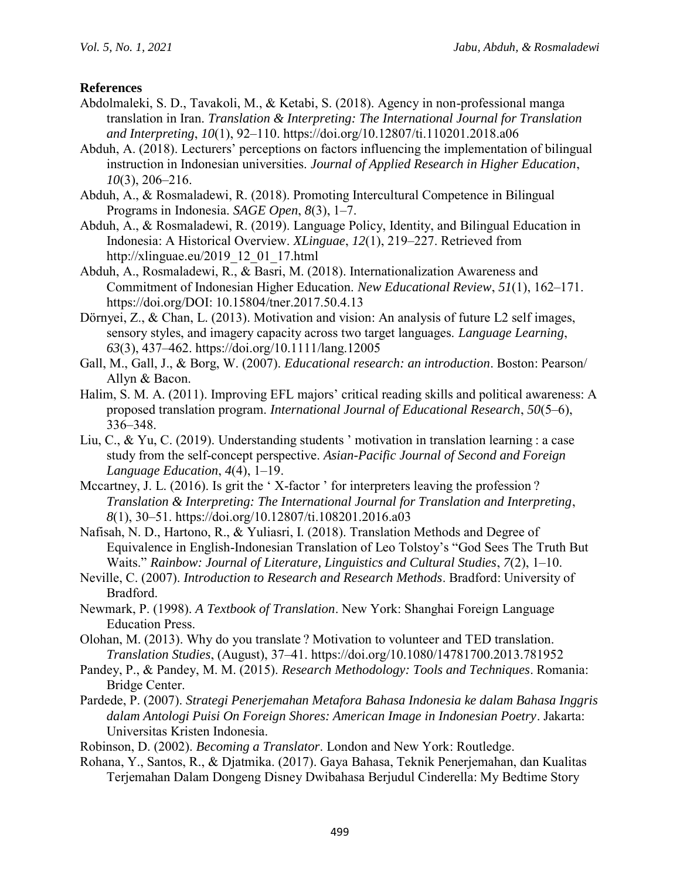## **References**

- Abdolmaleki, S. D., Tavakoli, M., & Ketabi, S. (2018). Agency in non-professional manga translation in Iran. *Translation & Interpreting: The International Journal for Translation and Interpreting*, *10*(1), 92–110. https://doi.org/10.12807/ti.110201.2018.a06
- Abduh, A. (2018). Lecturers' perceptions on factors influencing the implementation of bilingual instruction in Indonesian universities. *Journal of Applied Research in Higher Education*, *10*(3), 206–216.
- Abduh, A., & Rosmaladewi, R. (2018). Promoting Intercultural Competence in Bilingual Programs in Indonesia. *SAGE Open*, *8*(3), 1–7.
- Abduh, A., & Rosmaladewi, R. (2019). Language Policy, Identity, and Bilingual Education in Indonesia: A Historical Overview. *XLinguae*, *12*(1), 219–227. Retrieved from http://xlinguae.eu/2019\_12\_01\_17.html
- Abduh, A., Rosmaladewi, R., & Basri, M. (2018). Internationalization Awareness and Commitment of Indonesian Higher Education. *New Educational Review*, *51*(1), 162–171. https://doi.org/DOI: 10.15804/tner.2017.50.4.13
- Dörnyei, Z., & Chan, L. (2013). Motivation and vision: An analysis of future L2 self images, sensory styles, and imagery capacity across two target languages. *Language Learning*, *63*(3), 437–462. https://doi.org/10.1111/lang.12005
- Gall, M., Gall, J., & Borg, W. (2007). *Educational research: an introduction*. Boston: Pearson/ Allyn & Bacon.
- Halim, S. M. A. (2011). Improving EFL majors' critical reading skills and political awareness: A proposed translation program. *International Journal of Educational Research*, *50*(5–6), 336–348.
- Liu, C., & Yu, C. (2019). Understanding students ' motivation in translation learning : a case study from the self-concept perspective. *Asian-Pacific Journal of Second and Foreign Language Education*, *4*(4), 1–19.
- Mccartney, J. L. (2016). Is grit the 'X-factor' for interpreters leaving the profession? *Translation & Interpreting: The International Journal for Translation and Interpreting*, *8*(1), 30–51. https://doi.org/10.12807/ti.108201.2016.a03
- Nafisah, N. D., Hartono, R., & Yuliasri, I. (2018). Translation Methods and Degree of Equivalence in English-Indonesian Translation of Leo Tolstoy's "God Sees The Truth But Waits." *Rainbow: Journal of Literature, Linguistics and Cultural Studies*, *7*(2), 1–10.
- Neville, C. (2007). *Introduction to Research and Research Methods*. Bradford: University of Bradford.
- Newmark, P. (1998). *A Textbook of Translation*. New York: Shanghai Foreign Language Education Press.
- Olohan, M. (2013). Why do you translate ? Motivation to volunteer and TED translation. *Translation Studies*, (August), 37–41. https://doi.org/10.1080/14781700.2013.781952
- Pandey, P., & Pandey, M. M. (2015). *Research Methodology: Tools and Techniques*. Romania: Bridge Center.
- Pardede, P. (2007). *Strategi Penerjemahan Metafora Bahasa Indonesia ke dalam Bahasa Inggris dalam Antologi Puisi On Foreign Shores: American Image in Indonesian Poetry*. Jakarta: Universitas Kristen Indonesia.
- Robinson, D. (2002). *Becoming a Translator*. London and New York: Routledge.
- Rohana, Y., Santos, R., & Djatmika. (2017). Gaya Bahasa, Teknik Penerjemahan, dan Kualitas Terjemahan Dalam Dongeng Disney Dwibahasa Berjudul Cinderella: My Bedtime Story